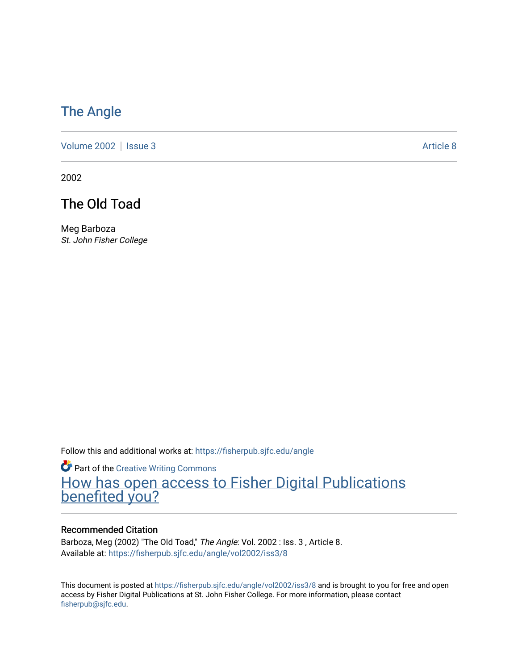### [The Angle](https://fisherpub.sjfc.edu/angle)

[Volume 2002](https://fisherpub.sjfc.edu/angle/vol2002) | [Issue 3](https://fisherpub.sjfc.edu/angle/vol2002/iss3) Article 8

2002

### The Old Toad

Meg Barboza St. John Fisher College

Follow this and additional works at: [https://fisherpub.sjfc.edu/angle](https://fisherpub.sjfc.edu/angle?utm_source=fisherpub.sjfc.edu%2Fangle%2Fvol2002%2Fiss3%2F8&utm_medium=PDF&utm_campaign=PDFCoverPages)

Part of the [Creative Writing Commons](http://network.bepress.com/hgg/discipline/574?utm_source=fisherpub.sjfc.edu%2Fangle%2Fvol2002%2Fiss3%2F8&utm_medium=PDF&utm_campaign=PDFCoverPages)  [How has open access to Fisher Digital Publications](https://docs.google.com/forms/d/14zrnDfH9d1wcdq8oG_-gFabAsxfcH5claltx85ZWyTg/viewform?entry.1394608989=https://fisherpub.sjfc.edu/angle/vol2002/iss3/8%3Chttps://docs.google.com/forms/d/14zrnDfH9d1wcdq8oG_-gFabAsxfcH5claltx85ZWyTg/viewform?entry.1394608989=%7bhttps://fisherpub.sjfc.edu/angle/vol2002/iss3/8%7d) [benefited you?](https://docs.google.com/forms/d/14zrnDfH9d1wcdq8oG_-gFabAsxfcH5claltx85ZWyTg/viewform?entry.1394608989=https://fisherpub.sjfc.edu/angle/vol2002/iss3/8%3Chttps://docs.google.com/forms/d/14zrnDfH9d1wcdq8oG_-gFabAsxfcH5claltx85ZWyTg/viewform?entry.1394608989=%7bhttps://fisherpub.sjfc.edu/angle/vol2002/iss3/8%7d)

#### Recommended Citation

Barboza, Meg (2002) "The Old Toad," The Angle: Vol. 2002 : Iss. 3, Article 8. Available at: [https://fisherpub.sjfc.edu/angle/vol2002/iss3/8](https://fisherpub.sjfc.edu/angle/vol2002/iss3/8?utm_source=fisherpub.sjfc.edu%2Fangle%2Fvol2002%2Fiss3%2F8&utm_medium=PDF&utm_campaign=PDFCoverPages)

This document is posted at <https://fisherpub.sjfc.edu/angle/vol2002/iss3/8> and is brought to you for free and open access by Fisher Digital Publications at St. John Fisher College. For more information, please contact [fisherpub@sjfc.edu](mailto:fisherpub@sjfc.edu).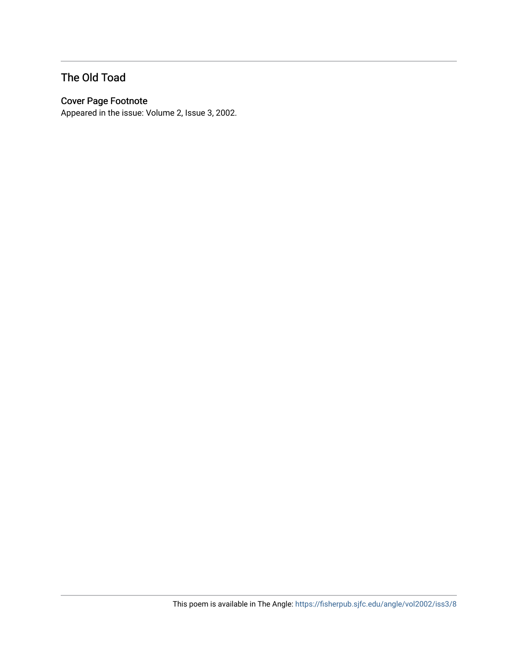### The Old Toad

#### Cover Page Footnote

Appeared in the issue: Volume 2, Issue 3, 2002.